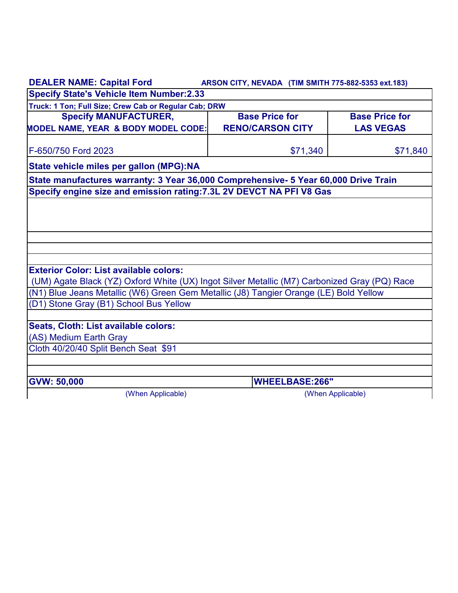| <b>DEALER NAME: Capital Ford</b>                                                                                                | ARSON CITY, NEVADA (TIM SMITH 775-882-5353 ext.183) |                       |  |
|---------------------------------------------------------------------------------------------------------------------------------|-----------------------------------------------------|-----------------------|--|
| <b>Specify State's Vehicle Item Number:2.33</b>                                                                                 |                                                     |                       |  |
| Truck: 1 Ton; Full Size; Crew Cab or Regular Cab; DRW                                                                           |                                                     |                       |  |
| <b>Specify MANUFACTURER,</b>                                                                                                    | <b>Base Price for</b>                               | <b>Base Price for</b> |  |
| <b>MODEL NAME, YEAR &amp; BODY MODEL CODE:</b>                                                                                  | <b>RENO/CARSON CITY</b>                             | <b>LAS VEGAS</b>      |  |
| F-650/750 Ford 2023                                                                                                             | \$71,340                                            | \$71,840              |  |
| State vehicle miles per gallon (MPG):NA                                                                                         |                                                     |                       |  |
| State manufactures warranty: 3 Year 36,000 Comprehensive- 5 Year 60,000 Drive Train                                             |                                                     |                       |  |
| Specify engine size and emission rating: 7.3L 2V DEVCT NA PFI V8 Gas                                                            |                                                     |                       |  |
|                                                                                                                                 |                                                     |                       |  |
|                                                                                                                                 |                                                     |                       |  |
|                                                                                                                                 |                                                     |                       |  |
|                                                                                                                                 |                                                     |                       |  |
|                                                                                                                                 |                                                     |                       |  |
|                                                                                                                                 |                                                     |                       |  |
| <b>Exterior Color: List available colors:</b>                                                                                   |                                                     |                       |  |
| (UM) Agate Black (YZ) Oxford White (UX) Ingot Silver Metallic (M7) Carbonized Gray (PQ) Race                                    |                                                     |                       |  |
| (N1) Blue Jeans Metallic (W6) Green Gem Metallic (J8) Tangier Orange (LE) Bold Yellow<br>(D1) Stone Gray (B1) School Bus Yellow |                                                     |                       |  |
|                                                                                                                                 |                                                     |                       |  |
| Seats, Cloth: List available colors:                                                                                            |                                                     |                       |  |
| (AS) Medium Earth Gray                                                                                                          |                                                     |                       |  |
| Cloth 40/20/40 Split Bench Seat \$91                                                                                            |                                                     |                       |  |
|                                                                                                                                 |                                                     |                       |  |
|                                                                                                                                 |                                                     |                       |  |
| <b>GVW: 50,000</b>                                                                                                              | <b>WHEELBASE:266"</b>                               |                       |  |
| (When Applicable)                                                                                                               |                                                     | (When Applicable)     |  |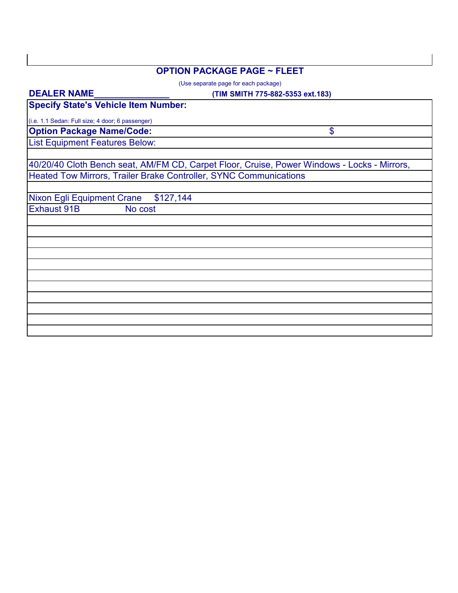## **OPTION PACKAGE PAGE ~ FLEET**

(Use separate page for each package)

**DEALER NAME\_\_\_\_\_\_\_\_\_\_\_\_\_\_\_**

## **(TIM SMITH 775-882-5353 ext.183)**

| <b>Specify State's Vehicle Item Number:</b>                                                 |  |  |
|---------------------------------------------------------------------------------------------|--|--|
| (i.e. 1.1 Sedan: Full size; 4 door; 6 passenger)                                            |  |  |
| <b>Option Package Name/Code:</b><br>\$                                                      |  |  |
| <b>List Equipment Features Below:</b>                                                       |  |  |
|                                                                                             |  |  |
| 40/20/40 Cloth Bench seat, AM/FM CD, Carpet Floor, Cruise, Power Windows - Locks - Mirrors, |  |  |
| Heated Tow Mirrors, Trailer Brake Controller, SYNC Communications                           |  |  |
|                                                                                             |  |  |
| Nixon Egli Equipment Crane<br>\$127,144                                                     |  |  |
| <b>Exhaust 91B</b><br>No cost                                                               |  |  |
|                                                                                             |  |  |
|                                                                                             |  |  |
|                                                                                             |  |  |
|                                                                                             |  |  |
|                                                                                             |  |  |
|                                                                                             |  |  |
|                                                                                             |  |  |
|                                                                                             |  |  |
|                                                                                             |  |  |
|                                                                                             |  |  |
|                                                                                             |  |  |